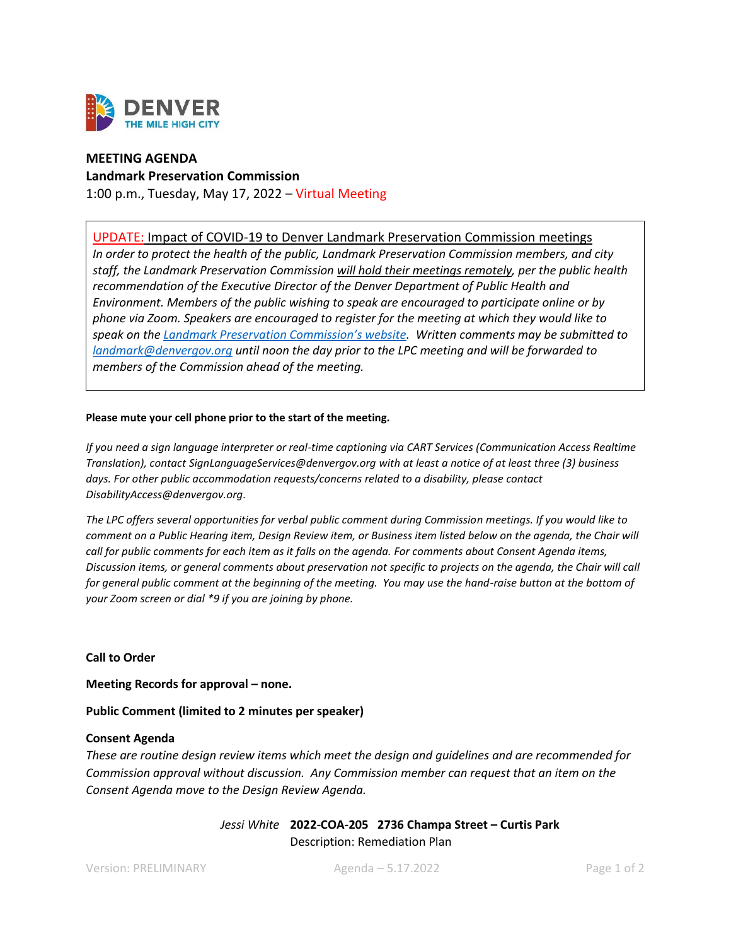

# **MEETING AGENDA**

**Landmark Preservation Commission** 1:00 p.m., Tuesday, May 17, 2022 – Virtual Meeting

# UPDATE: Impact of COVID-19 to Denver Landmark Preservation Commission meetings

*In order to protect the health of the public, Landmark Preservation Commission members, and city staff, the Landmark Preservation Commission will hold their meetings remotely, per the public health recommendation of the Executive Director of the Denver Department of Public Health and Environment. Members of the public wishing to speak are encouraged to participate online or by phone via Zoom. Speakers are encouraged to register for the meeting at which they would like to speak on the [Landmark Preservation Commission's website](https://www.denvergov.org/content/denvergov/en/community-planning-and-development/landmark-preservation/landmark-preservation-commission.html). Written comments may be submitted to [landmark@denvergov.org](mailto:landmark@denvergov.org) until noon the day prior to the LPC meeting and will be forwarded to members of the Commission ahead of the meeting.* 

## **Please mute your cell phone prior to the start of the meeting.**

*If you need a sign language interpreter or real-time captioning via CART Services (Communication Access Realtime Translation), contac[t SignLanguageServices@denvergov.org](mailto:SignLanguageServices@denvergov.org) with at least a notice of at least three (3) business days. For other public accommodation requests/concerns related to a disability, please contact [DisabilityAccess@denvergov.org.](mailto:DisabilityAccess@denvergov.org)*

*The LPC offers several opportunities for verbal public comment during Commission meetings. If you would like to comment on a Public Hearing item, Design Review item, or Business item listed below on the agenda, the Chair will call for public comments for each item as it falls on the agenda. For comments about Consent Agenda items, Discussion items, or general comments about preservation not specific to projects on the agenda, the Chair will call*  for general public comment at the beginning of the meeting. You may use the hand-raise button at the bottom of *your Zoom screen or dial \*9 if you are joining by phone.* 

## **Call to Order**

**Meeting Records for approval – none.**

**Public Comment (limited to 2 minutes per speaker)**

#### **Consent Agenda**

*These are routine design review items which meet the design and guidelines and are recommended for Commission approval without discussion. Any Commission member can request that an item on the Consent Agenda move to the Design Review Agenda.*

> *Jessi White* **2022-COA-205 2736 Champa Street – Curtis Park** Description: Remediation Plan